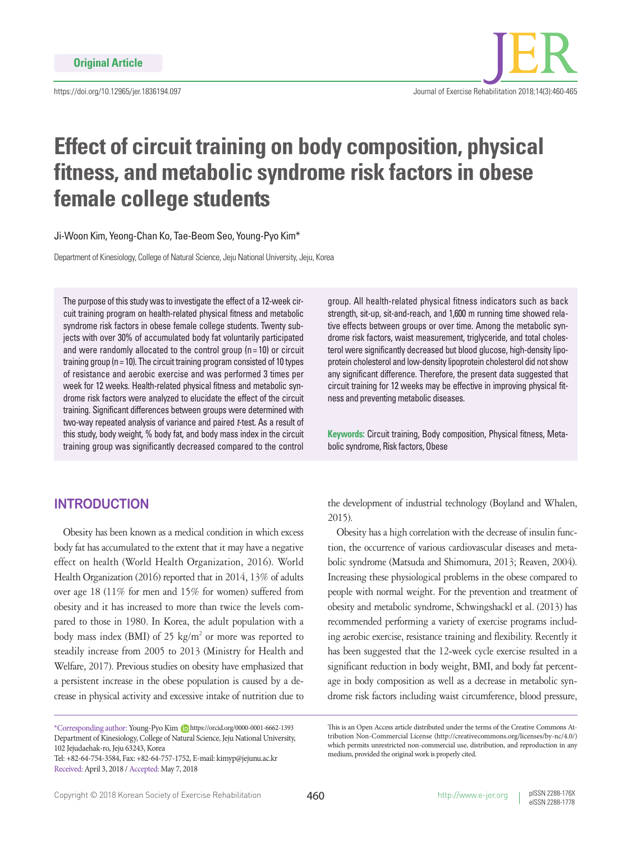

# **Effect of circuit training on body composition, physical fitness, and metabolic syndrome risk factors in obese female college students**

Ji-Woon Kim, Yeong-Chan Ko, Tae-Beom Seo, Young-Pyo Kim\*

Department of Kinesiology, College of Natural Science, Jeju National University, Jeju, Korea

The purpose of this study was to investigate the effect of a 12-week circuit training program on health-related physical fitness and metabolic syndrome risk factors in obese female college students. Twenty subjects with over 30% of accumulated body fat voluntarily participated and were randomly allocated to the control group ( $n = 10$ ) or circuit training group ( $n = 10$ ). The circuit training program consisted of 10 types of resistance and aerobic exercise and was performed 3 times per week for 12 weeks. Health-related physical fitness and metabolic syndrome risk factors were analyzed to elucidate the effect of the circuit training. Significant differences between groups were determined with two-way repeated analysis of variance and paired *t*-test. As a result of this study, body weight, % body fat, and body mass index in the circuit training group was significantly decreased compared to the control

# **INTRODUCTION**

Obesity has been known as a medical condition in which excess body fat has accumulated to the extent that it may have a negative effect on health (World Health Organization, 2016). World Health Organization (2016) reported that in 2014, 13% of adults over age 18 (11% for men and 15% for women) suffered from obesity and it has increased to more than twice the levels compared to those in 1980. In Korea, the adult population with a body mass index (BMI) of 25  $\text{kg/m}^2$  or more was reported to steadily increase from 2005 to 2013 (Ministry for Health and Welfare, 2017). Previous studies on obesity have emphasized that a persistent increase in the obese population is caused by a decrease in physical activity and excessive intake of nutrition due to

Tel: +82-64-754-3584, Fax: +82-64-757-1752, E-mail: kimyp@jejunu.ac.kr Received: April 3, 2018 / Accepted: May 7, 2018

group. All health-related physical fitness indicators such as back strength, sit-up, sit-and-reach, and 1,600 m running time showed relative effects between groups or over time. Among the metabolic syndrome risk factors, waist measurement, triglyceride, and total cholesterol were significantly decreased but blood glucose, high-density lipoprotein cholesterol and low-density lipoprotein cholesterol did not show any significant difference. Therefore, the present data suggested that circuit training for 12 weeks may be effective in improving physical fitness and preventing metabolic diseases.

**Keywords:** Circuit training, Body composition, Physical fitness, Metabolic syndrome, Risk factors, Obese

the development of industrial technology (Boyland and Whalen, 2015).

Obesity has a high correlation with the decrease of insulin function, the occurrence of various cardiovascular diseases and metabolic syndrome (Matsuda and Shimomura, 2013; Reaven, 2004). Increasing these physiological problems in the obese compared to people with normal weight. For the prevention and treatment of obesity and metabolic syndrome, Schwingshackl et al. (2013) has recommended performing a variety of exercise programs including aerobic exercise, resistance training and flexibility. Recently it has been suggested that the 12-week cycle exercise resulted in a significant reduction in body weight, BMI, and body fat percentage in body composition as well as a decrease in metabolic syndrome risk factors including waist circumference, blood pressure,

<sup>\*</sup>Corresponding author: Young-Pyo Kim https://orcid.org/0000-0001-6662-1393 Department of Kinesiology, College of Natural Science, Jeju National University, 102 Jejudaehak-ro, Jeju 63243, Korea

This is an Open Access article distributed under the terms of the Creative Commons Attribution Non-Commercial License (http://creativecommons.org/licenses/by-nc/4.0/) which permits unrestricted non-commercial use, distribution, and reproduction in any medium, provided the original work is properly cited.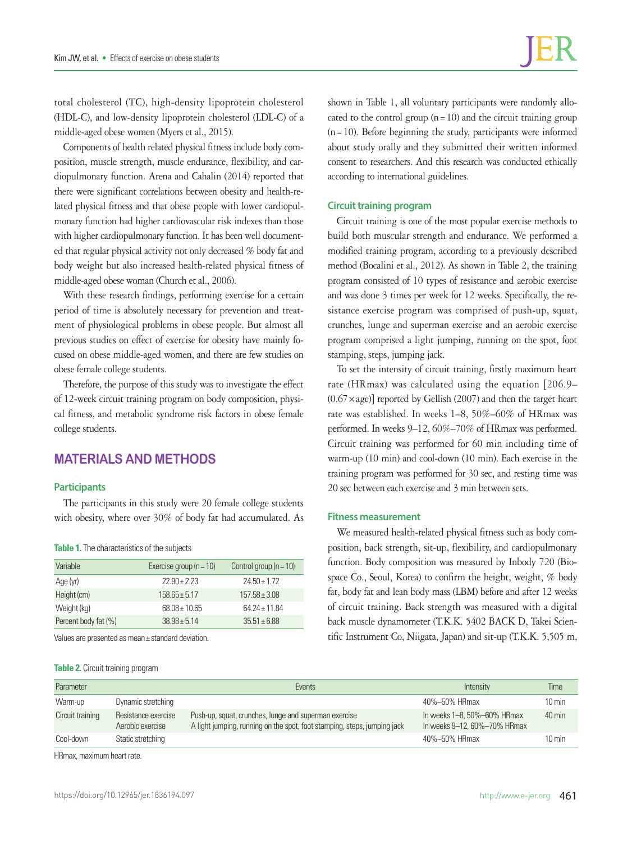total cholesterol (TC), high-density lipoprotein cholesterol (HDL-C), and low-density lipoprotein cholesterol (LDL-C) of a middle-aged obese women (Myers et al., 2015).

Components of health related physical fitness include body composition, muscle strength, muscle endurance, flexibility, and cardiopulmonary function. Arena and Cahalin (2014) reported that there were significant correlations between obesity and health-related physical fitness and that obese people with lower cardiopulmonary function had higher cardiovascular risk indexes than those with higher cardiopulmonary function. It has been well documented that regular physical activity not only decreased % body fat and body weight but also increased health-related physical fitness of middle-aged obese woman (Church et al., 2006).

With these research findings, performing exercise for a certain period of time is absolutely necessary for prevention and treatment of physiological problems in obese people. But almost all previous studies on effect of exercise for obesity have mainly focused on obese middle-aged women, and there are few studies on obese female college students.

Therefore, the purpose of this study was to investigate the effect of 12-week circuit training program on body composition, physical fitness, and metabolic syndrome risk factors in obese female college students.

# **MATERIALS AND METHODS**

#### **Participants**

The participants in this study were 20 female college students with obesity, where over 30% of body fat had accumulated. As

|  |  | Table 1. The characteristics of the subjects |  |  |
|--|--|----------------------------------------------|--|--|
|--|--|----------------------------------------------|--|--|

| Variable             | Exercise group ( $n = 10$ ) | Control group $(n = 10)$ |
|----------------------|-----------------------------|--------------------------|
| Age (yr)             | $22.90 + 2.23$              | $24.50 + 1.72$           |
| Height (cm)          | $158.65 \pm 5.17$           | $157.58 \pm 3.08$        |
| Weight (kg)          | $68.08 \pm 10.65$           | $64.24 + 11.84$          |
| Percent body fat (%) | $38.98 + 5.14$              | $35.51 \pm 6.88$         |

Values are presented as mean± standard deviation.

**Table 2.** Circuit training program

shown in Table 1, all voluntary participants were randomly allocated to the control group  $(n=10)$  and the circuit training group  $(n=10)$ . Before beginning the study, participants were informed about study orally and they submitted their written informed consent to researchers. And this research was conducted ethically according to international guidelines.

## **Circuit training program**

Circuit training is one of the most popular exercise methods to build both muscular strength and endurance. We performed a modified training program, according to a previously described method (Bocalini et al., 2012). As shown in Table 2, the training program consisted of 10 types of resistance and aerobic exercise and was done 3 times per week for 12 weeks. Specifically, the resistance exercise program was comprised of push-up, squat, crunches, lunge and superman exercise and an aerobic exercise program comprised a light jumping, running on the spot, foot stamping, steps, jumping jack.

To set the intensity of circuit training, firstly maximum heart rate (HRmax) was calculated using the equation [206.9–  $(0.67 \times age)$ ] reported by Gellish (2007) and then the target heart rate was established. In weeks 1–8, 50%–60% of HRmax was performed. In weeks 9–12, 60%–70% of HRmax was performed. Circuit training was performed for 60 min including time of warm-up (10 min) and cool-down (10 min). Each exercise in the training program was performed for 30 sec, and resting time was 20 sec between each exercise and 3 min between sets.

## **Fitness measurement**

We measured health-related physical fitness such as body composition, back strength, sit-up, flexibility, and cardiopulmonary function. Body composition was measured by Inbody 720 (Biospace Co., Seoul, Korea) to confirm the height, weight, % body fat, body fat and lean body mass (LBM) before and after 12 weeks of circuit training. Back strength was measured with a digital back muscle dynamometer (T.K.K. 5402 BACK D, Takei Scientific Instrument Co, Niigata, Japan) and sit-up (T.K.K. 5,505 m,

| Parameter        |                                         | Events                                                                                                                            | Intensity                                                   | Time                |
|------------------|-----------------------------------------|-----------------------------------------------------------------------------------------------------------------------------------|-------------------------------------------------------------|---------------------|
| Warm-up          | Dynamic stretching                      |                                                                                                                                   | 40%-50% HRmax                                               | $10 \text{ min}$    |
| Circuit training | Resistance exercise<br>Aerobic exercise | Push-up, squat, crunches, lunge and superman exercise<br>A light jumping, running on the spot, foot stamping, steps, jumping jack | In weeks 1–8, 50%–60% HRmax<br>In weeks 9-12, 60%-70% HRmax | $40 \text{ min}$    |
| Cool-down        | Static stretching                       |                                                                                                                                   | 40%-50% HRmax                                               | $10 \,\mathrm{min}$ |

HRmax, maximum heart rate.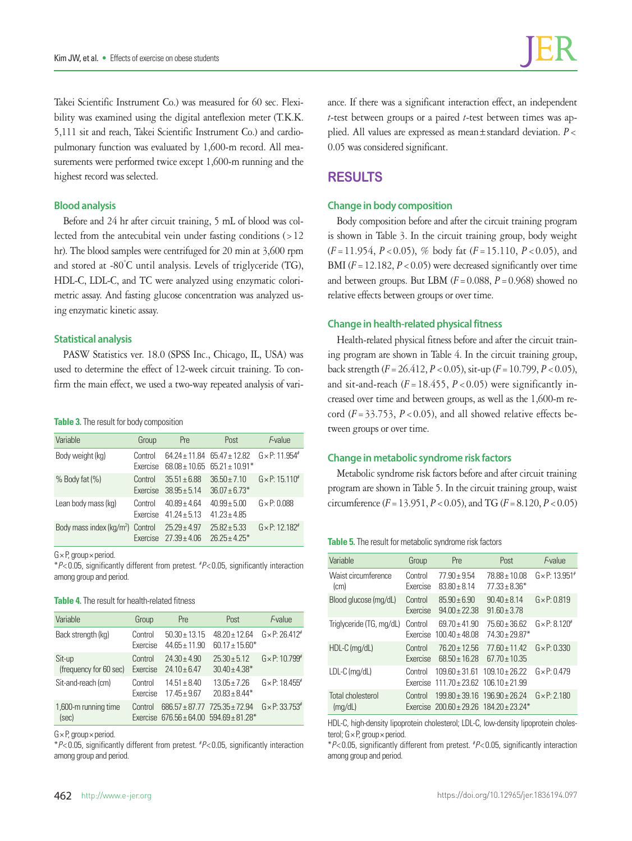Takei Scientific Instrument Co.) was measured for 60 sec. Flexibility was examined using the digital anteflexion meter (T.K.K. 5,111 sit and reach, Takei Scientific Instrument Co.) and cardiopulmonary function was evaluated by 1,600-m record. All measurements were performed twice except 1,600-m running and the highest record was selected.

## **Blood analysis**

Before and 24 hr after circuit training, 5 mL of blood was collected from the antecubital vein under fasting conditions (>12 hr). The blood samples were centrifuged for 20 min at 3,600 rpm and stored at -80° C until analysis. Levels of triglyceride (TG), HDL-C, LDL-C, and TC were analyzed using enzymatic colorimetric assay. And fasting glucose concentration was analyzed using enzymatic kinetic assay.

#### **Statistical analysis**

PASW Statistics ver. 18.0 (SPSS Inc., Chicago, IL, USA) was used to determine the effect of 12-week circuit training. To confirm the main effect, we used a two-way repeated analysis of vari-

#### **Table 3.** The result for body composition

| Variable                                     | Group               | Pre                                | Post                                                                                                                   | F-value                            |
|----------------------------------------------|---------------------|------------------------------------|------------------------------------------------------------------------------------------------------------------------|------------------------------------|
| Body weight (kg)                             | Control<br>Exercise |                                    | $64.24 + 11.84$ $65.47 + 12.82$ $G \times P$ : 11.954 <sup>#</sup><br>$68.08 \pm 10.65$ $65.21 \pm 10.91$ <sup>*</sup> |                                    |
| $%$ Body fat $(\% )$                         | Control<br>Exercise | $35.51 + 6.88$<br>$38.95 + 5.14$   | $36.50 \pm 7.10$<br>$36.07 \pm 6.73*$                                                                                  | $G \times P$ : 15.110 <sup>#</sup> |
| Lean body mass (kg)                          | Control<br>Exercise | $40.89 + 4.64$<br>$41\,24 + 5\,13$ | $40.99 \pm 5.00$<br>$41.23 \pm 4.85$                                                                                   | $G \times P: 0.088$                |
| Body mass index (kg/m <sup>2</sup> ) Control | Exercise            | $25.29 \pm 4.97$<br>$27.39 + 4.06$ | $25.82 + 5.33$<br>$26.25 + 4.25*$                                                                                      | $G \times P$ : 12.182 <sup>#</sup> |

G× P, group× period.

\**P*< 0.05, significantly different from pretest. # *P*< 0.05, significantly interaction among group and period.

#### **Table 4.** The result for health-related fitness

| Variable                         | Group               | Pre                                    | Post                                                                             | F-value                    |
|----------------------------------|---------------------|----------------------------------------|----------------------------------------------------------------------------------|----------------------------|
| Back strength (kg)               | Control<br>Exercise | $50.30 \pm 13.15$<br>$44.65 \pm 11.90$ | $48.20 + 12.64$<br>$60.17 \pm 15.60*$                                            | $G \times P: 26.412^{#}$   |
| Sit-up<br>(frequency for 60 sec) | Control<br>Exercise | $24.30 + 4.90$<br>$24.10 + 6.47$       | $25.30 + 5.12$<br>$30.40 \pm 4.38$ <sup>*</sup>                                  | $G \times P$ : 10.799 $\#$ |
| Sit-and-reach (cm)               | Control<br>Exercise | $14.51 \pm 8.40$<br>$17.45 \pm 9.67$   | $13.05 + 7.26$<br>$20.83 + 8.44*$                                                | $G \times P$ : 18.455 $#$  |
| 1,600-m running time<br>(sec)    | Control<br>Exercise |                                        | $686.57 \pm 87.77$ $725.35 \pm 72.94$<br>$676.56 \pm 64.00$ $594.69 \pm 81.28$ * | $G \times P: 33.753$ #     |

G× P, group× period.

\**P*< 0.05, significantly different from pretest. # *P*< 0.05, significantly interaction among group and period.

ance. If there was a significant interaction effect, an independent *t*-test between groups or a paired *t*-test between times was applied. All values are expressed as mean±standard deviation. *P*< 0.05 was considered significant.

## **RESULTS**

#### **Change in body composition**

Body composition before and after the circuit training program is shown in Table 3. In the circuit training group, body weight (*F*=11.954, *P*<0.05), % body fat (*F*=15.110, *P*<0.05), and BMI  $(F = 12.182, P < 0.05)$  were decreased significantly over time and between groups. But LBM  $(F = 0.088, P = 0.968)$  showed no relative effects between groups or over time.

#### **Change in health-related physical fitness**

Health-related physical fitness before and after the circuit training program are shown in Table 4. In the circuit training group, back strength (*F*=26.412, *P*<0.05), sit-up (*F*=10.799, *P*<0.05), and sit-and-reach  $(F = 18.455, P < 0.05)$  were significantly increased over time and between groups, as well as the 1,600-m record  $(F = 33.753, P < 0.05)$ , and all showed relative effects between groups or over time.

#### **Change in metabolic syndrome risk factors**

Metabolic syndrome risk factors before and after circuit training program are shown in Table 5. In the circuit training group, waist circumference  $(F = 13.951, P < 0.05)$ , and TG  $(F = 8.120, P < 0.05)$ 

**Table 5.** The result for metabolic syndrome risk factors

| Variable                     | Group               | Pre                                                     | Post                                                        | F-value                            |
|------------------------------|---------------------|---------------------------------------------------------|-------------------------------------------------------------|------------------------------------|
| Waist circumference<br>(cm)  | Control<br>Exercise | $77.90 \pm 9.54$<br>$83.80 \pm 8.14$                    | $78.88 \pm 10.08$<br>$77.33 + 8.36*$                        | $G \times P$ : 13.951 <sup>#</sup> |
| Blood glucose (mg/dL)        | Control<br>Exercise | $85.90 + 6.90$<br>$94.00 + 22.38$                       | $90.40 \pm 8.14$<br>$91.60 \pm 3.78$                        | $G \times P: 0.819$                |
| Triglyceride (TG, mg/dL)     | Control<br>Exercise | $69.70 \pm 41.90$<br>$100.40 \pm 48.08$                 | $75.60 + 36.62$<br>$74.30 \pm 29.87$ *                      | $G \times P: 8.120^{#}$            |
| HDL-C (mg/dL)                | Control<br>Exercise | $76.20 \pm 12.56$<br>$68.50 \pm 16.28$                  | $77.60 \pm 11.42$<br>$67.70 \pm 10.35$                      | $G \times P: 0.330$                |
| LDL-C (mg/dL)                | Control<br>Exercise | $109.60 \pm 31.61$<br>$111.70 + 23.62$ $106.10 + 21.99$ | $109.10 + 26.22$                                            | $G \times P: 0.479$                |
| Total cholesterol<br>(mq/dL) | Control             | $199.80 + 39.16$ $196.90 + 26.24$                       | Exercise $200.60 \pm 29.26$ $184.20 \pm 23.24$ <sup>*</sup> | $G \times P$ : 2.180               |

HDL-C, high-density lipoprotein cholesterol; LDL-C, low-density lipoprotein cholesterol; G × P, group × period.

\**P*< 0.05, significantly different from pretest. # *P*< 0.05, significantly interaction among group and period.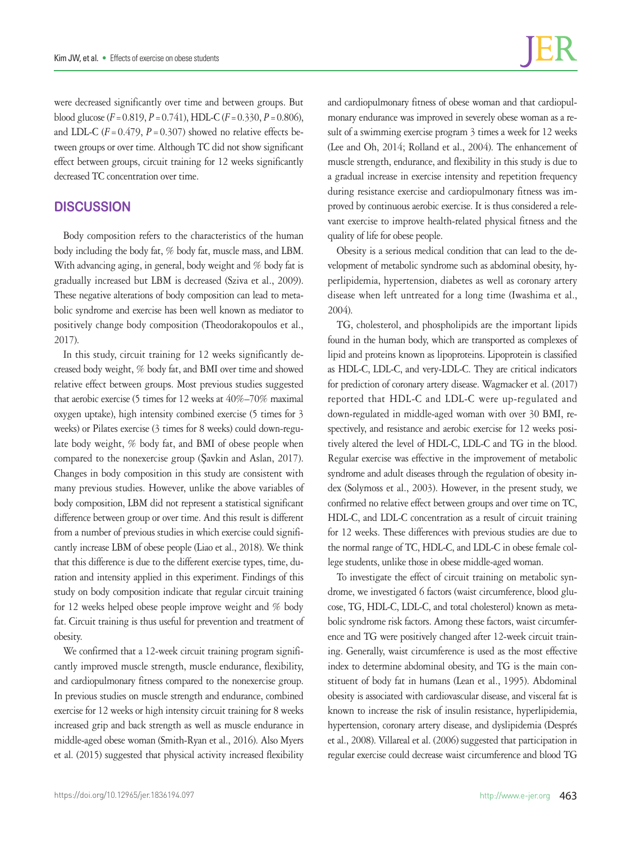were decreased significantly over time and between groups. But blood glucose  $(F = 0.819, P = 0.741)$ , HDL-C  $(F = 0.330, P = 0.806)$ , and LDL-C  $(F = 0.479, P = 0.307)$  showed no relative effects between groups or over time. Although TC did not show significant effect between groups, circuit training for 12 weeks significantly decreased TC concentration over time.

## **DISCUSSION**

Body composition refers to the characteristics of the human body including the body fat, % body fat, muscle mass, and LBM. With advancing aging, in general, body weight and % body fat is gradually increased but LBM is decreased (Sziva et al., 2009). These negative alterations of body composition can lead to metabolic syndrome and exercise has been well known as mediator to positively change body composition (Theodorakopoulos et al., 2017).

In this study, circuit training for 12 weeks significantly decreased body weight, % body fat, and BMI over time and showed relative effect between groups. Most previous studies suggested that aerobic exercise (5 times for 12 weeks at 40%–70% maximal oxygen uptake), high intensity combined exercise (5 times for 3 weeks) or Pilates exercise (3 times for 8 weeks) could down-regulate body weight, % body fat, and BMI of obese people when compared to the nonexercise group (Şavkin and Aslan, 2017). Changes in body composition in this study are consistent with many previous studies. However, unlike the above variables of body composition, LBM did not represent a statistical significant difference between group or over time. And this result is different from a number of previous studies in which exercise could significantly increase LBM of obese people (Liao et al., 2018). We think that this difference is due to the different exercise types, time, duration and intensity applied in this experiment. Findings of this study on body composition indicate that regular circuit training for 12 weeks helped obese people improve weight and % body fat. Circuit training is thus useful for prevention and treatment of obesity.

We confirmed that a 12-week circuit training program significantly improved muscle strength, muscle endurance, flexibility, and cardiopulmonary fitness compared to the nonexercise group. In previous studies on muscle strength and endurance, combined exercise for 12 weeks or high intensity circuit training for 8 weeks increased grip and back strength as well as muscle endurance in middle-aged obese woman (Smith-Ryan et al., 2016). Also Myers et al. (2015) suggested that physical activity increased flexibility and cardiopulmonary fitness of obese woman and that cardiopulmonary endurance was improved in severely obese woman as a result of a swimming exercise program 3 times a week for 12 weeks (Lee and Oh, 2014; Rolland et al., 2004). The enhancement of muscle strength, endurance, and flexibility in this study is due to a gradual increase in exercise intensity and repetition frequency during resistance exercise and cardiopulmonary fitness was improved by continuous aerobic exercise. It is thus considered a relevant exercise to improve health-related physical fitness and the quality of life for obese people.

Obesity is a serious medical condition that can lead to the development of metabolic syndrome such as abdominal obesity, hyperlipidemia, hypertension, diabetes as well as coronary artery disease when left untreated for a long time (Iwashima et al., 2004).

TG, cholesterol, and phospholipids are the important lipids found in the human body, which are transported as complexes of lipid and proteins known as lipoproteins. Lipoprotein is classified as HDL-C, LDL-C, and very-LDL-C. They are critical indicators for prediction of coronary artery disease. Wagmacker et al. (2017) reported that HDL-C and LDL-C were up-regulated and down-regulated in middle-aged woman with over 30 BMI, respectively, and resistance and aerobic exercise for 12 weeks positively altered the level of HDL-C, LDL-C and TG in the blood. Regular exercise was effective in the improvement of metabolic syndrome and adult diseases through the regulation of obesity index (Solymoss et al., 2003). However, in the present study, we confirmed no relative effect between groups and over time on TC, HDL-C, and LDL-C concentration as a result of circuit training for 12 weeks. These differences with previous studies are due to the normal range of TC, HDL-C, and LDL-C in obese female college students, unlike those in obese middle-aged woman.

To investigate the effect of circuit training on metabolic syndrome, we investigated 6 factors (waist circumference, blood glucose, TG, HDL-C, LDL-C, and total cholesterol) known as metabolic syndrome risk factors. Among these factors, waist circumference and TG were positively changed after 12-week circuit training. Generally, waist circumference is used as the most effective index to determine abdominal obesity, and TG is the main constituent of body fat in humans (Lean et al., 1995). Abdominal obesity is associated with cardiovascular disease, and visceral fat is known to increase the risk of insulin resistance, hyperlipidemia, hypertension, coronary artery disease, and dyslipidemia (Després et al., 2008). Villareal et al. (2006) suggested that participation in regular exercise could decrease waist circumference and blood TG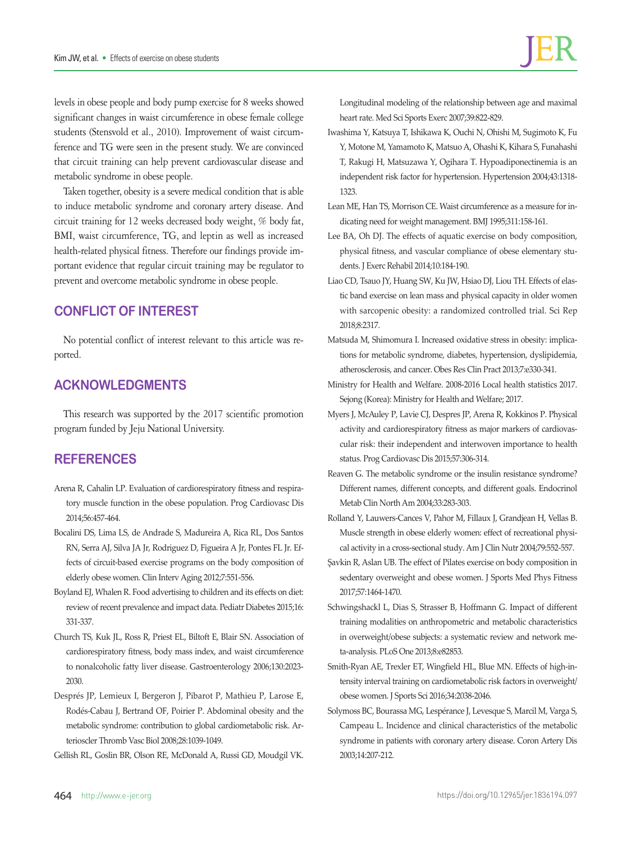levels in obese people and body pump exercise for 8 weeks showed significant changes in waist circumference in obese female college students (Stensvold et al., 2010). Improvement of waist circumference and TG were seen in the present study. We are convinced that circuit training can help prevent cardiovascular disease and metabolic syndrome in obese people.

Taken together, obesity is a severe medical condition that is able to induce metabolic syndrome and coronary artery disease. And circuit training for 12 weeks decreased body weight, % body fat, BMI, waist circumference, TG, and leptin as well as increased health-related physical fitness. Therefore our findings provide important evidence that regular circuit training may be regulator to prevent and overcome metabolic syndrome in obese people.

# **CONFLICT OF INTEREST**

No potential conflict of interest relevant to this article was reported.

## **ACKNOWLEDGMENTS**

This research was supported by the 2017 scientific promotion program funded by Jeju National University.

# **REFERENCES**

- Arena R, Cahalin LP. Evaluation of cardiorespiratory fitness and respiratory muscle function in the obese population. Prog Cardiovasc Dis 2014;56:457-464.
- Bocalini DS, Lima LS, de Andrade S, Madureira A, Rica RL, Dos Santos RN, Serra AJ, Silva JA Jr, Rodriguez D, Figueira A Jr, Pontes FL Jr. Effects of circuit-based exercise programs on the body composition of elderly obese women. Clin Interv Aging 2012;7:551-556.
- Boyland EJ, Whalen R. Food advertising to children and its effects on diet: review of recent prevalence and impact data. Pediatr Diabetes 2015;16: 331-337.
- Church TS, Kuk JL, Ross R, Priest EL, Biltoft E, Blair SN. Association of cardiorespiratory fitness, body mass index, and waist circumference to nonalcoholic fatty liver disease. Gastroenterology 2006;130:2023- 2030.
- Després JP, Lemieux I, Bergeron J, Pibarot P, Mathieu P, Larose E, Rodés-Cabau J, Bertrand OF, Poirier P. Abdominal obesity and the metabolic syndrome: contribution to global cardiometabolic risk. Arterioscler Thromb Vasc Biol 2008;28:1039-1049.
- Gellish RL, Goslin BR, Olson RE, McDonald A, Russi GD, Moudgil VK.

Longitudinal modeling of the relationship between age and maximal heart rate. Med Sci Sports Exerc 2007;39:822-829.

- Iwashima Y, Katsuya T, Ishikawa K, Ouchi N, Ohishi M, Sugimoto K, Fu Y, Motone M, Yamamoto K, Matsuo A, Ohashi K, Kihara S, Funahashi T, Rakugi H, Matsuzawa Y, Ogihara T. Hypoadiponectinemia is an independent risk factor for hypertension. Hypertension 2004;43:1318- 1323.
- Lean ME, Han TS, Morrison CE. Waist circumference as a measure for indicating need for weight management. BMJ 1995;311:158-161.
- Lee BA, Oh DJ. The effects of aquatic exercise on body composition, physical fitness, and vascular compliance of obese elementary students. J Exerc Rehabil 2014;10:184-190.
- Liao CD, Tsauo JY, Huang SW, Ku JW, Hsiao DJ, Liou TH. Effects of elastic band exercise on lean mass and physical capacity in older women with sarcopenic obesity: a randomized controlled trial. Sci Rep 2018;8:2317.
- Matsuda M, Shimomura I. Increased oxidative stress in obesity: implications for metabolic syndrome, diabetes, hypertension, dyslipidemia, atherosclerosis, and cancer. Obes Res Clin Pract 2013;7:e330-341.
- Ministry for Health and Welfare. 2008-2016 Local health statistics 2017. Sejong (Korea): Ministry for Health and Welfare; 2017.
- Myers J, McAuley P, Lavie CJ, Despres JP, Arena R, Kokkinos P. Physical activity and cardiorespiratory fitness as major markers of cardiovascular risk: their independent and interwoven importance to health status. Prog Cardiovasc Dis 2015;57:306-314.
- Reaven G. The metabolic syndrome or the insulin resistance syndrome? Different names, different concepts, and different goals. Endocrinol Metab Clin North Am 2004;33:283-303.
- Rolland Y, Lauwers-Cances V, Pahor M, Fillaux J, Grandjean H, Vellas B. Muscle strength in obese elderly women: effect of recreational physical activity in a cross-sectional study. Am J Clin Nutr 2004;79:552-557.
- Şavkin R, Aslan UB. The effect of Pilates exercise on body composition in sedentary overweight and obese women. J Sports Med Phys Fitness 2017;57:1464-1470.
- Schwingshackl L, Dias S, Strasser B, Hoffmann G. Impact of different training modalities on anthropometric and metabolic characteristics in overweight/obese subjects: a systematic review and network meta-analysis. PLoS One 2013;8:e82853.
- Smith-Ryan AE, Trexler ET, Wingfield HL, Blue MN. Effects of high-intensity interval training on cardiometabolic risk factors in overweight/ obese women. J Sports Sci 2016;34:2038-2046.
- Solymoss BC, Bourassa MG, Lespérance J, Levesque S, Marcil M, Varga S, Campeau L. Incidence and clinical characteristics of the metabolic syndrome in patients with coronary artery disease. Coron Artery Dis 2003;14:207-212.